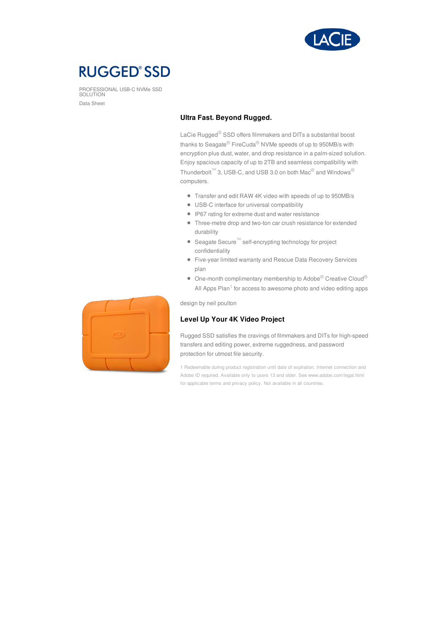

# **RUGGED®SSD**

PROFESSIONAL USB-C NVMe SSD SOLUTION Data Sheet

### **Ultra Fast. Beyond Rugged.**

LaCie Rugged® SSD offers filmmakers and DITs a substantial boost thanks to Seagate® FireCuda® NVMe speeds of up to 950MB/s with encryption plus dust, water, and drop resistance in a palm-sized solution. Enjoy spacious capacity of up to 2TB and seamless compatibility with Thunderbolt™ 3, USB-C, and USB 3.0 on both Mac<sup>®</sup> and Windows® computers.

- Transfer and edit RAW 4K video with speeds of up to 950MB/s
- USB-C interface for universal compatibility
- IP67 rating for extreme dust and water resistance
- Three-metre drop and two-ton car crush resistance for extended durability
- Seagate Secure<sup>™</sup> self-encrypting technology for project confidentiality
- Five-year limited warranty and Rescue Data Recovery Services plan
- $\bullet$  One-month complimentary membership to Adobe<sup>®</sup> Creative Cloud<sup>®</sup> All Apps Plan<sup>1</sup> for access to awesome photo and video editing apps

design by neil poulton

## **Level Up Your 4K Video Project**

Rugged SSD satisfies the cravings of filmmakers and DITs for high-speed transfers and editing power, extreme ruggedness, and password protection for utmost file security.

1 Redeemable during product registration until date of expiration. Internet connection and Adobe ID required. Available only to users 13 and older. See www.adobe.com/legal.html for applicable terms and privacy policy. Not available in all countries.